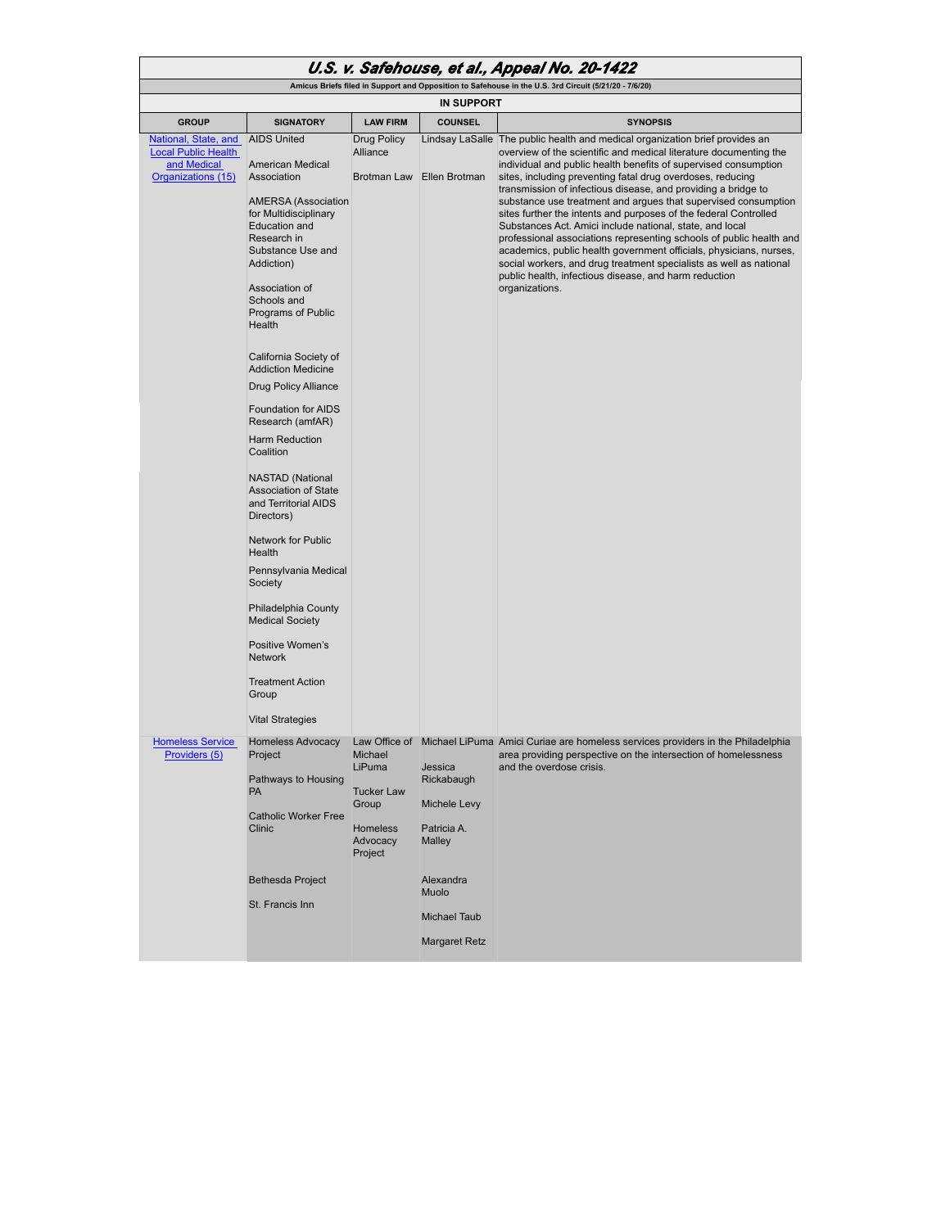| U.S. v. Safehouse, et al., Appeal No. 20-1422                                                         |                                                                                                                                                                                                                                                                                                                                                                                                                                                                                                                                                                                                                                                                                        |                                                                                    |                                                                |                                                                                                                                                                                                                                                                                                                                                                                                                                                                                                                                                               |  |  |  |
|-------------------------------------------------------------------------------------------------------|----------------------------------------------------------------------------------------------------------------------------------------------------------------------------------------------------------------------------------------------------------------------------------------------------------------------------------------------------------------------------------------------------------------------------------------------------------------------------------------------------------------------------------------------------------------------------------------------------------------------------------------------------------------------------------------|------------------------------------------------------------------------------------|----------------------------------------------------------------|---------------------------------------------------------------------------------------------------------------------------------------------------------------------------------------------------------------------------------------------------------------------------------------------------------------------------------------------------------------------------------------------------------------------------------------------------------------------------------------------------------------------------------------------------------------|--|--|--|
| Amicus Briefs filed in Support and Opposition to Safehouse in the U.S. 3rd Circuit (5/21/20 - 7/6/20) |                                                                                                                                                                                                                                                                                                                                                                                                                                                                                                                                                                                                                                                                                        |                                                                                    |                                                                |                                                                                                                                                                                                                                                                                                                                                                                                                                                                                                                                                               |  |  |  |
| <b>IN SUPPORT</b>                                                                                     |                                                                                                                                                                                                                                                                                                                                                                                                                                                                                                                                                                                                                                                                                        |                                                                                    |                                                                |                                                                                                                                                                                                                                                                                                                                                                                                                                                                                                                                                               |  |  |  |
| <b>GROUP</b>                                                                                          | <b>SIGNATORY</b>                                                                                                                                                                                                                                                                                                                                                                                                                                                                                                                                                                                                                                                                       | <b>LAW FIRM</b>                                                                    | <b>COUNSEL</b>                                                 | <b>SYNOPSIS</b>                                                                                                                                                                                                                                                                                                                                                                                                                                                                                                                                               |  |  |  |
| National, State, and<br><b>Local Public Health</b><br>and Medical<br>Organizations (15)               | <b>AIDS United</b><br><b>American Medical</b><br>Association                                                                                                                                                                                                                                                                                                                                                                                                                                                                                                                                                                                                                           | <b>Drug Policy</b><br>Alliance<br>Brotman Law                                      | Ellen Brotman                                                  | Lindsay LaSalle The public health and medical organization brief provides an<br>overview of the scientific and medical literature documenting the<br>individual and public health benefits of supervised consumption<br>sites, including preventing fatal drug overdoses, reducing                                                                                                                                                                                                                                                                            |  |  |  |
|                                                                                                       | <b>AMERSA</b> (Association<br>for Multidisciplinary<br>Education and<br>Research in<br>Substance Use and<br>Addiction)<br>Association of<br>Schools and<br>Programs of Public<br>Health<br>California Society of<br><b>Addiction Medicine</b><br>Drug Policy Alliance<br><b>Foundation for AIDS</b><br>Research (amfAR)<br>Harm Reduction<br>Coalition<br><b>NASTAD (National</b><br><b>Association of State</b><br>and Territorial AIDS<br>Directors)<br><b>Network for Public</b><br>Health<br>Pennsylvania Medical<br>Society<br>Philadelphia County<br><b>Medical Society</b><br>Positive Women's<br><b>Network</b><br><b>Treatment Action</b><br>Group<br><b>Vital Strategies</b> |                                                                                    |                                                                | transmission of infectious disease, and providing a bridge to<br>substance use treatment and argues that supervised consumption<br>sites further the intents and purposes of the federal Controlled<br>Substances Act. Amici include national, state, and local<br>professional associations representing schools of public health and<br>academics, public health government officials, physicians, nurses,<br>social workers, and drug treatment specialists as well as national<br>public health, infectious disease, and harm reduction<br>organizations. |  |  |  |
| <b>Homeless Service</b>                                                                               | <b>Homeless Advocacy</b>                                                                                                                                                                                                                                                                                                                                                                                                                                                                                                                                                                                                                                                               |                                                                                    |                                                                | Law Office of Michael LiPuma Amici Curiae are homeless services providers in the Philadelphia                                                                                                                                                                                                                                                                                                                                                                                                                                                                 |  |  |  |
| Providers (5)                                                                                         | Project<br>Pathways to Housing<br><b>PA</b><br><b>Catholic Worker Free</b><br>Clinic                                                                                                                                                                                                                                                                                                                                                                                                                                                                                                                                                                                                   | Michael<br>LiPuma<br><b>Tucker Law</b><br>Group<br>Homeless<br>Advocacy<br>Project | Jessica<br>Rickabaugh<br>Michele Levy<br>Patricia A.<br>Malley | area providing perspective on the intersection of homelessness<br>and the overdose crisis.                                                                                                                                                                                                                                                                                                                                                                                                                                                                    |  |  |  |
|                                                                                                       | <b>Bethesda Project</b><br>St. Francis Inn                                                                                                                                                                                                                                                                                                                                                                                                                                                                                                                                                                                                                                             |                                                                                    | Alexandra<br>Muolo                                             |                                                                                                                                                                                                                                                                                                                                                                                                                                                                                                                                                               |  |  |  |
|                                                                                                       |                                                                                                                                                                                                                                                                                                                                                                                                                                                                                                                                                                                                                                                                                        |                                                                                    | <b>Michael Taub</b><br><b>Margaret Retz</b>                    |                                                                                                                                                                                                                                                                                                                                                                                                                                                                                                                                                               |  |  |  |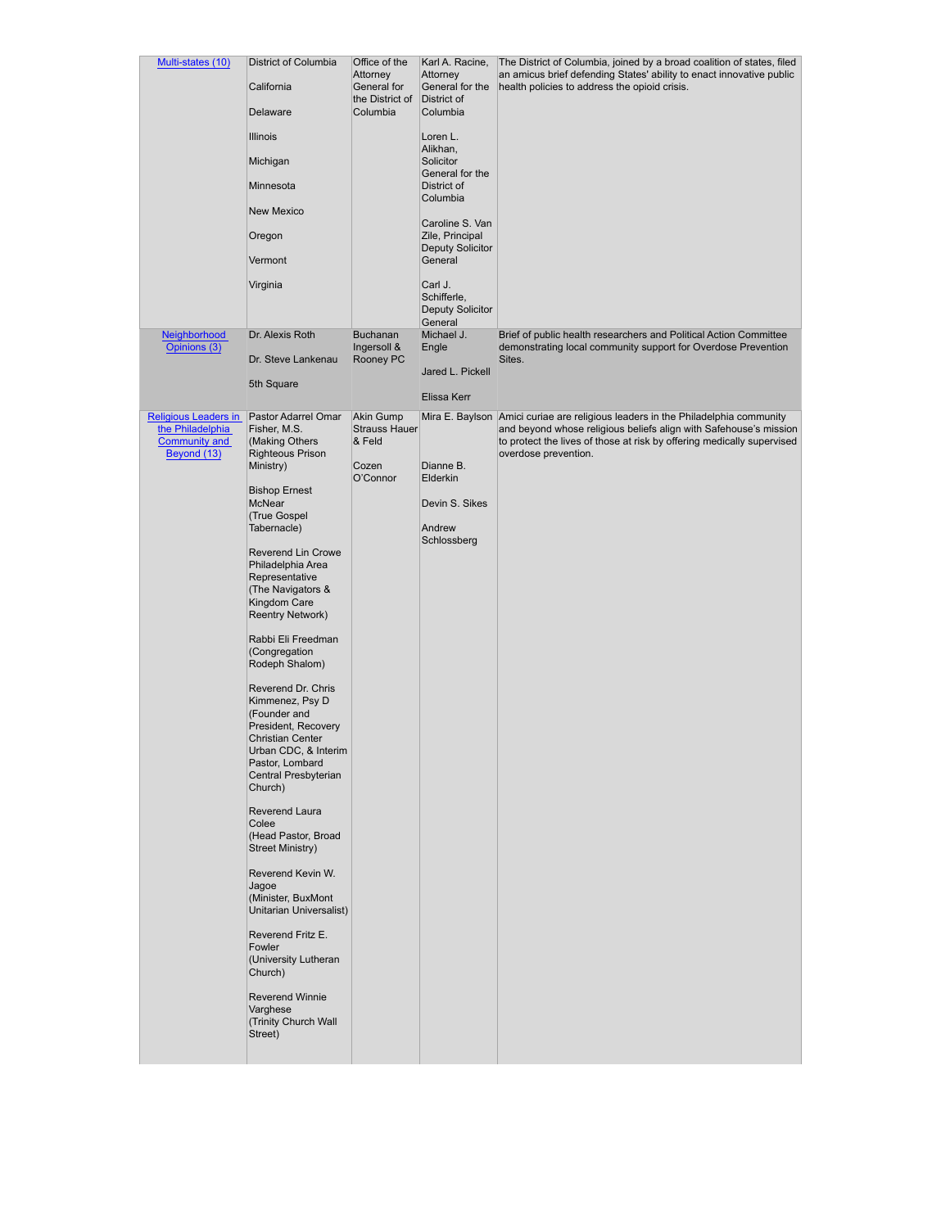| Multi-states (10)                        | District of Columbia                           | Office of the                              | Karl A. Racine,                            | The District of Columbia, joined by a broad coalition of states, filed                                                                      |
|------------------------------------------|------------------------------------------------|--------------------------------------------|--------------------------------------------|---------------------------------------------------------------------------------------------------------------------------------------------|
|                                          | California                                     | Attorney<br>General for<br>the District of | Attorney<br>General for the<br>District of | an amicus brief defending States' ability to enact innovative public<br>health policies to address the opioid crisis.                       |
|                                          | Delaware                                       | Columbia                                   | Columbia                                   |                                                                                                                                             |
|                                          | <b>Illinois</b>                                |                                            | Loren L.<br>Alikhan,                       |                                                                                                                                             |
|                                          | Michigan                                       |                                            | Solicitor<br>General for the               |                                                                                                                                             |
|                                          | Minnesota                                      |                                            | District of<br>Columbia                    |                                                                                                                                             |
|                                          | <b>New Mexico</b>                              |                                            |                                            |                                                                                                                                             |
|                                          | Oregon                                         |                                            | Caroline S. Van<br>Zile, Principal         |                                                                                                                                             |
|                                          | Vermont                                        |                                            | <b>Deputy Solicitor</b><br>General         |                                                                                                                                             |
|                                          | Virginia                                       |                                            | Carl J.                                    |                                                                                                                                             |
|                                          |                                                |                                            | Schifferle,<br>Deputy Solicitor            |                                                                                                                                             |
| Neighborhood                             | Dr. Alexis Roth                                | <b>Buchanan</b>                            | General<br>Michael J.                      | Brief of public health researchers and Political Action Committee                                                                           |
| Opinions (3)                             |                                                | Ingersoll &                                | Engle                                      | demonstrating local community support for Overdose Prevention                                                                               |
|                                          | Dr. Steve Lankenau                             | Rooney PC                                  | Jared L. Pickell                           | Sites.                                                                                                                                      |
|                                          | 5th Square                                     |                                            | Elissa Kerr                                |                                                                                                                                             |
| <b>Religious Leaders in</b>              | Pastor Adarrel Omar                            | Akin Gump                                  |                                            | Mira E. Baylson Amici curiae are religious leaders in the Philadelphia community                                                            |
| the Philadelphia<br><b>Community and</b> | Fisher, M.S.<br>(Making Others                 | <b>Strauss Hauer</b><br>& Feld             |                                            | and beyond whose religious beliefs align with Safehouse's mission<br>to protect the lives of those at risk by offering medically supervised |
| Beyond (13)                              | <b>Righteous Prison</b><br>Ministry)           | Cozen                                      | Dianne B.                                  | overdose prevention.                                                                                                                        |
|                                          |                                                | O'Connor                                   | Elderkin                                   |                                                                                                                                             |
|                                          | <b>Bishop Ernest</b><br>McNear                 |                                            | Devin S. Sikes                             |                                                                                                                                             |
|                                          | (True Gospel<br>Tabernacle)                    |                                            | Andrew                                     |                                                                                                                                             |
|                                          |                                                |                                            | Schlossberg                                |                                                                                                                                             |
|                                          | Reverend Lin Crowe<br>Philadelphia Area        |                                            |                                            |                                                                                                                                             |
|                                          | Representative<br>(The Navigators &            |                                            |                                            |                                                                                                                                             |
|                                          | Kingdom Care<br><b>Reentry Network)</b>        |                                            |                                            |                                                                                                                                             |
|                                          |                                                |                                            |                                            |                                                                                                                                             |
|                                          | Rabbi Eli Freedman<br>(Congregation            |                                            |                                            |                                                                                                                                             |
|                                          | Rodeph Shalom)                                 |                                            |                                            |                                                                                                                                             |
|                                          | Reverend Dr. Chris<br>Kimmenez, Psy D          |                                            |                                            |                                                                                                                                             |
|                                          | (Founder and                                   |                                            |                                            |                                                                                                                                             |
|                                          | President, Recovery<br><b>Christian Center</b> |                                            |                                            |                                                                                                                                             |
|                                          | Urban CDC, & Interim<br>Pastor, Lombard        |                                            |                                            |                                                                                                                                             |
|                                          | Central Presbyterian<br>Church)                |                                            |                                            |                                                                                                                                             |
|                                          | Reverend Laura                                 |                                            |                                            |                                                                                                                                             |
|                                          | Colee                                          |                                            |                                            |                                                                                                                                             |
|                                          | (Head Pastor, Broad<br><b>Street Ministry)</b> |                                            |                                            |                                                                                                                                             |
|                                          | Reverend Kevin W.                              |                                            |                                            |                                                                                                                                             |
|                                          | Jagoe<br>(Minister, BuxMont                    |                                            |                                            |                                                                                                                                             |
|                                          | Unitarian Universalist)                        |                                            |                                            |                                                                                                                                             |
|                                          | Reverend Fritz E.<br>Fowler                    |                                            |                                            |                                                                                                                                             |
|                                          | (University Lutheran                           |                                            |                                            |                                                                                                                                             |
|                                          | Church)                                        |                                            |                                            |                                                                                                                                             |
|                                          | Reverend Winnie<br>Varghese                    |                                            |                                            |                                                                                                                                             |
|                                          | (Trinity Church Wall<br>Street)                |                                            |                                            |                                                                                                                                             |
|                                          |                                                |                                            |                                            |                                                                                                                                             |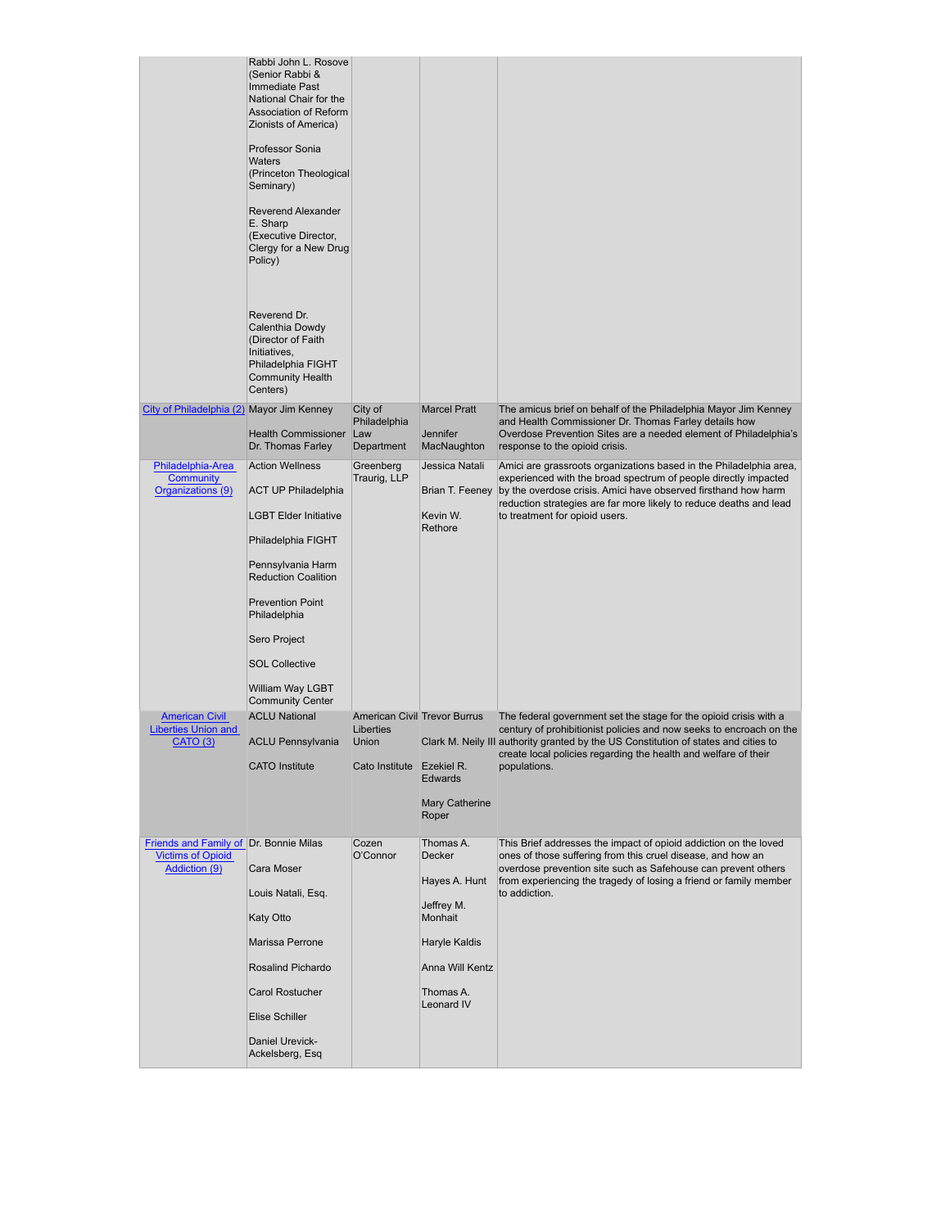|                                                                                            | Rabbi John L. Rosove<br>(Senior Rabbi &<br>Immediate Past<br>National Chair for the<br>Association of Reform<br>Zionists of America)<br>Professor Sonia<br><b>Waters</b><br>(Princeton Theological<br>Seminary)<br>Reverend Alexander<br>E. Sharp<br>(Executive Director,<br>Clergy for a New Drug<br>Policy)<br>Reverend Dr.<br>Calenthia Dowdy<br>(Director of Faith<br>Initiatives,<br>Philadelphia FIGHT<br><b>Community Health</b><br>Centers) |                                                                                        |                                                                                                                                     |                                                                                                                                                                                                                                                                                                                    |
|--------------------------------------------------------------------------------------------|-----------------------------------------------------------------------------------------------------------------------------------------------------------------------------------------------------------------------------------------------------------------------------------------------------------------------------------------------------------------------------------------------------------------------------------------------------|----------------------------------------------------------------------------------------|-------------------------------------------------------------------------------------------------------------------------------------|--------------------------------------------------------------------------------------------------------------------------------------------------------------------------------------------------------------------------------------------------------------------------------------------------------------------|
| City of Philadelphia (2) Mayor Jim Kenney                                                  | <b>Health Commissioner</b><br>Dr. Thomas Farley                                                                                                                                                                                                                                                                                                                                                                                                     | City of<br>Philadelphia<br>Law<br>Department                                           | <b>Marcel Pratt</b><br>Jennifer<br>MacNaughton                                                                                      | The amicus brief on behalf of the Philadelphia Mayor Jim Kenney<br>and Health Commissioner Dr. Thomas Farley details how<br>Overdose Prevention Sites are a needed element of Philadelphia's<br>response to the opioid crisis.                                                                                     |
| Philadelphia-Area<br><b>Community</b><br>Organizations (9)                                 | <b>Action Wellness</b><br><b>ACT UP Philadelphia</b><br><b>LGBT Elder Initiative</b><br>Philadelphia FIGHT<br>Pennsylvania Harm<br><b>Reduction Coalition</b><br><b>Prevention Point</b><br>Philadelphia<br>Sero Project<br><b>SOL Collective</b><br>William Way LGBT<br><b>Community Center</b>                                                                                                                                                    | Greenberg<br>Traurig, LLP                                                              | Jessica Natali<br>Brian T. Feeney<br>Kevin W.<br>Rethore                                                                            | Amici are grassroots organizations based in the Philadelphia area,<br>experienced with the broad spectrum of people directly impacted<br>by the overdose crisis. Amici have observed firsthand how harm<br>reduction strategies are far more likely to reduce deaths and lead<br>to treatment for opioid users.    |
| <b>American Civil</b><br><b>Liberties Union and</b><br><b>CATO (3)</b>                     | <b>ACLU National</b><br><b>ACLU Pennsylvania</b><br><b>CATO</b> Institute                                                                                                                                                                                                                                                                                                                                                                           | <b>American Civil Trevor Burrus</b><br>Liberties<br>Union<br>Cato Institute Ezekiel R. | <b>Edwards</b><br>Mary Catherine<br>Roper                                                                                           | The federal government set the stage for the opioid crisis with a<br>century of prohibitionist policies and now seeks to encroach on the<br>Clark M. Neily III authority granted by the US Constitution of states and cities to<br>create local policies regarding the health and welfare of their<br>populations. |
| Friends and Family of Dr. Bonnie Milas<br><b>Victims of Opioid</b><br><b>Addiction (9)</b> | Cara Moser<br>Louis Natali, Esq.<br>Katy Otto<br>Marissa Perrone<br>Rosalind Pichardo<br><b>Carol Rostucher</b><br><b>Elise Schiller</b><br>Daniel Urevick-<br>Ackelsberg, Esq                                                                                                                                                                                                                                                                      | Cozen<br>O'Connor                                                                      | Thomas A.<br><b>Decker</b><br>Hayes A. Hunt<br>Jeffrey M.<br>Monhait<br>Haryle Kaldis<br>Anna Will Kentz<br>Thomas A.<br>Leonard IV | This Brief addresses the impact of opioid addiction on the loved<br>ones of those suffering from this cruel disease, and how an<br>overdose prevention site such as Safehouse can prevent others<br>from experiencing the tragedy of losing a friend or family member<br>to addiction.                             |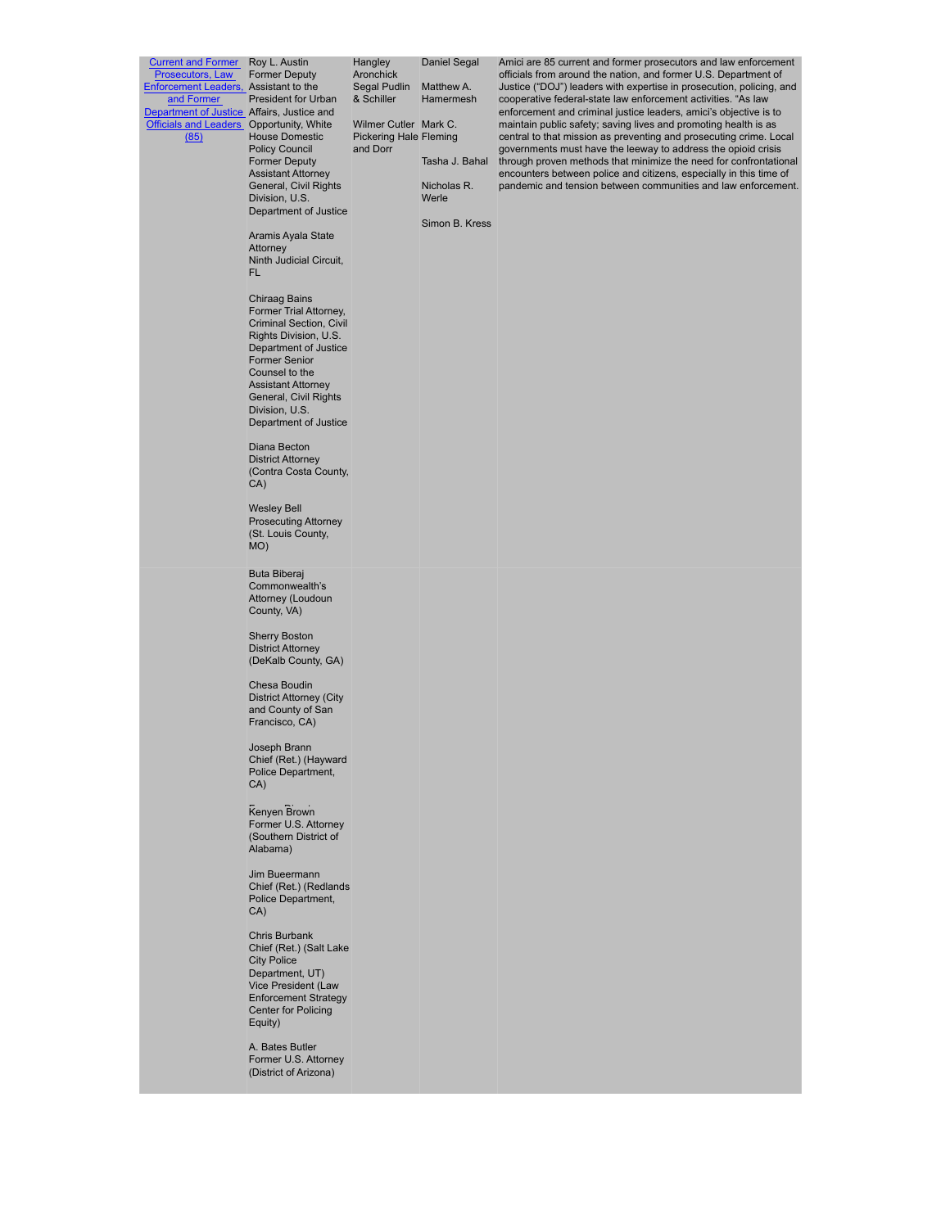| <b>Current and Former</b> Roy L. Austin<br>Prosecutors, Law<br>Enforcement Leaders, Assistant to the<br>and Former<br>Department of Justice Affairs, Justice and<br>Officials and Leaders Opportunity, White<br>(85) | <b>Former Deputy</b><br><b>President for Urban</b><br><b>House Domestic</b><br><b>Policy Council</b><br><b>Former Deputy</b><br><b>Assistant Attorney</b><br>General, Civil Rights<br>Division, U.S.<br>Department of Justice<br>Aramis Ayala State<br>Attorney<br>Ninth Judicial Circuit.<br>FL<br><b>Chiraag Bains</b><br>Former Trial Attorney,<br>Criminal Section, Civil<br>Rights Division, U.S.<br>Department of Justice<br><b>Former Senior</b><br>Counsel to the<br><b>Assistant Attorney</b><br>General, Civil Rights<br>Division, U.S.<br>Department of Justice<br>Diana Becton<br><b>District Attorney</b><br>(Contra Costa County,<br>CA)<br><b>Wesley Bell</b><br><b>Prosecuting Attorney</b><br>(St. Louis County,<br>MO) | Hangley<br>Aronchick<br>Segal Pudlin<br>& Schiller<br>Wilmer Cutler Mark C.<br><b>Pickering Hale Fleming</b><br>and Dorr | Daniel Segal<br>Matthew A.<br>Hamermesh<br>Tasha J. Bahal<br>Nicholas R.<br>Werle<br>Simon B. Kress | Amici are 85 current and former prosecutors and law enforcement<br>officials from around the nation, and former U.S. Department of<br>Justice ("DOJ") leaders with expertise in prosecution, policing, and<br>cooperative federal-state law enforcement activities. "As law<br>enforcement and criminal justice leaders, amici's objective is to<br>maintain public safety; saving lives and promoting health is as<br>central to that mission as preventing and prosecuting crime. Local<br>governments must have the leeway to address the opioid crisis<br>through proven methods that minimize the need for confrontational<br>encounters between police and citizens, especially in this time of<br>pandemic and tension between communities and law enforcement. |
|----------------------------------------------------------------------------------------------------------------------------------------------------------------------------------------------------------------------|------------------------------------------------------------------------------------------------------------------------------------------------------------------------------------------------------------------------------------------------------------------------------------------------------------------------------------------------------------------------------------------------------------------------------------------------------------------------------------------------------------------------------------------------------------------------------------------------------------------------------------------------------------------------------------------------------------------------------------------|--------------------------------------------------------------------------------------------------------------------------|-----------------------------------------------------------------------------------------------------|------------------------------------------------------------------------------------------------------------------------------------------------------------------------------------------------------------------------------------------------------------------------------------------------------------------------------------------------------------------------------------------------------------------------------------------------------------------------------------------------------------------------------------------------------------------------------------------------------------------------------------------------------------------------------------------------------------------------------------------------------------------------|
|                                                                                                                                                                                                                      | Buta Biberaj<br>Commonwealth's<br>Attorney (Loudoun<br>County, VA)                                                                                                                                                                                                                                                                                                                                                                                                                                                                                                                                                                                                                                                                       |                                                                                                                          |                                                                                                     |                                                                                                                                                                                                                                                                                                                                                                                                                                                                                                                                                                                                                                                                                                                                                                        |
|                                                                                                                                                                                                                      | <b>Sherry Boston</b><br><b>District Attorney</b><br>(DeKalb County, GA)                                                                                                                                                                                                                                                                                                                                                                                                                                                                                                                                                                                                                                                                  |                                                                                                                          |                                                                                                     |                                                                                                                                                                                                                                                                                                                                                                                                                                                                                                                                                                                                                                                                                                                                                                        |
|                                                                                                                                                                                                                      | Chesa Boudin<br>District Attorney (City<br>and County of San<br>Francisco, CA)                                                                                                                                                                                                                                                                                                                                                                                                                                                                                                                                                                                                                                                           |                                                                                                                          |                                                                                                     |                                                                                                                                                                                                                                                                                                                                                                                                                                                                                                                                                                                                                                                                                                                                                                        |
|                                                                                                                                                                                                                      | Joseph Brann<br>Chief (Ret.) (Hayward<br>Police Department,<br>CA)                                                                                                                                                                                                                                                                                                                                                                                                                                                                                                                                                                                                                                                                       |                                                                                                                          |                                                                                                     |                                                                                                                                                                                                                                                                                                                                                                                                                                                                                                                                                                                                                                                                                                                                                                        |
|                                                                                                                                                                                                                      | Kenyen Brown<br>Former U.S. Attorney<br>(Southern District of<br>Alabama)                                                                                                                                                                                                                                                                                                                                                                                                                                                                                                                                                                                                                                                                |                                                                                                                          |                                                                                                     |                                                                                                                                                                                                                                                                                                                                                                                                                                                                                                                                                                                                                                                                                                                                                                        |
|                                                                                                                                                                                                                      | Jim Bueermann<br>Chief (Ret.) (Redlands<br>Police Department,<br>CA)                                                                                                                                                                                                                                                                                                                                                                                                                                                                                                                                                                                                                                                                     |                                                                                                                          |                                                                                                     |                                                                                                                                                                                                                                                                                                                                                                                                                                                                                                                                                                                                                                                                                                                                                                        |
|                                                                                                                                                                                                                      | Chris Burbank<br>Chief (Ret.) (Salt Lake<br><b>City Police</b><br>Department, UT)<br>Vice President (Law<br><b>Enforcement Strategy</b><br><b>Center for Policing</b><br>Equity)                                                                                                                                                                                                                                                                                                                                                                                                                                                                                                                                                         |                                                                                                                          |                                                                                                     |                                                                                                                                                                                                                                                                                                                                                                                                                                                                                                                                                                                                                                                                                                                                                                        |
|                                                                                                                                                                                                                      | A. Bates Butler<br>Former U.S. Attorney<br>(District of Arizona)                                                                                                                                                                                                                                                                                                                                                                                                                                                                                                                                                                                                                                                                         |                                                                                                                          |                                                                                                     |                                                                                                                                                                                                                                                                                                                                                                                                                                                                                                                                                                                                                                                                                                                                                                        |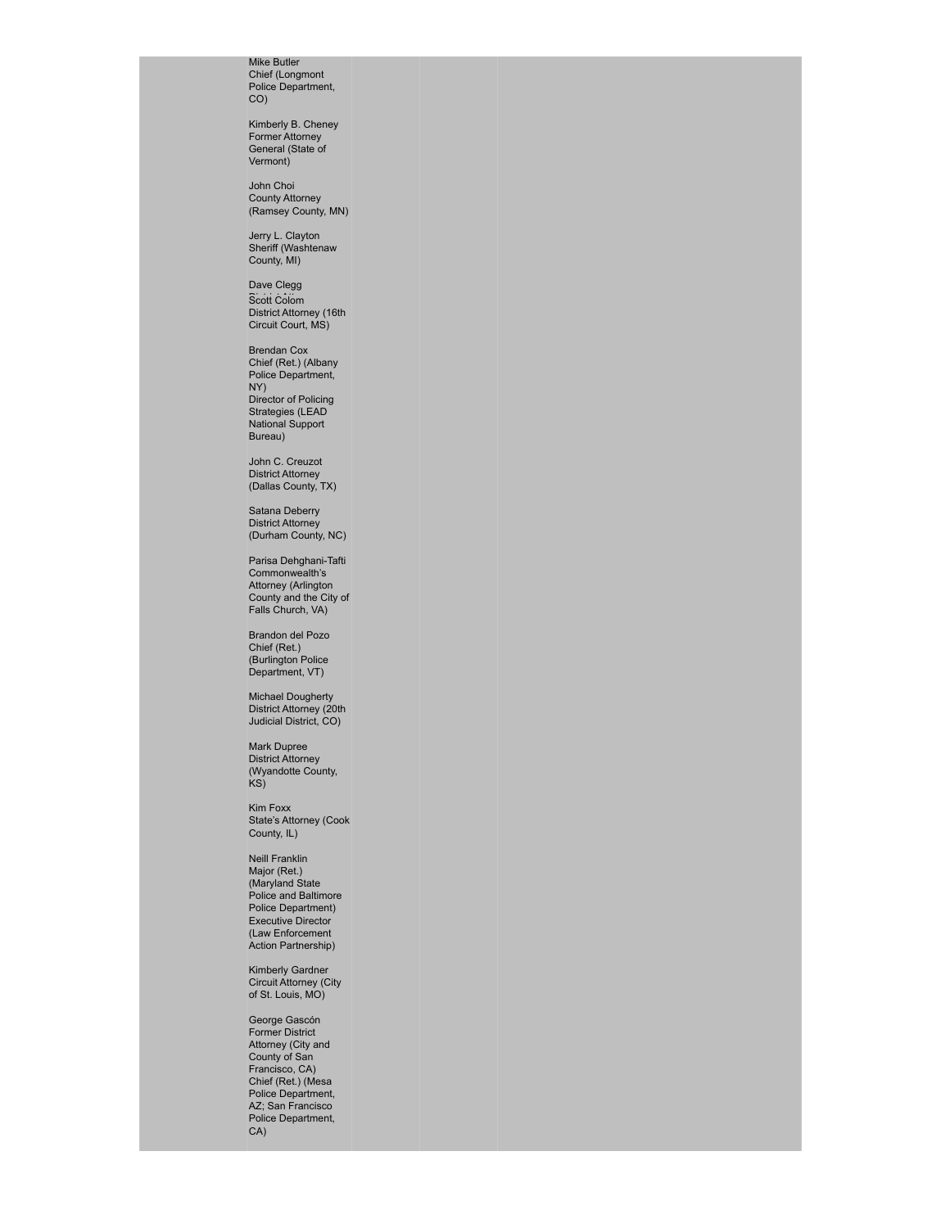Mike Butler Chief (Longmont Police Department, CO)

Kimberly B. Cheney Former Attorney General (State of Vermont)

John Choi County Attorney (Ramsey County, MN)

Jerry L. Clayton Sheriff (Washtenaw County, MI)

Dave Clegg Scott Colom<br>District Attorney (16th<br>Circuit Court, MS)

Brendan Cox Chief (Ret.) (Albany Police Department, NY) Director of Policing Strategies (LEAD National Support Bureau)

John C. Creuzot District Attorney (Dallas County, TX)

Satana Deberry District Attorney (Durham County, NC)

Parisa Dehghani-Tafti Commonwealth's Attorney (Arlington County and the City of Falls Church, VA)

Brandon del Pozo Chief (Ret.) (Burlington Police Department, VT)

Michael Dougherty District Attorney (20th Judicial District, CO)

Mark Dupree District Attorney (Wyandotte County, KS)

Kim Foxx State's Attorney (Cook County, IL)

Neill Franklin Major (Ret.) (Maryland State Police and Baltimore Police Department) Executive Director (Law Enforcement Action Partnership)

Kimberly Gardner Circuit Attorney (City of St. Louis, MO)

George Gascón Former District Attorney (City and County of San Francisco, CA) Chief (Ret.) (Mesa Police Department, AZ; San Francisco Police Department, CA)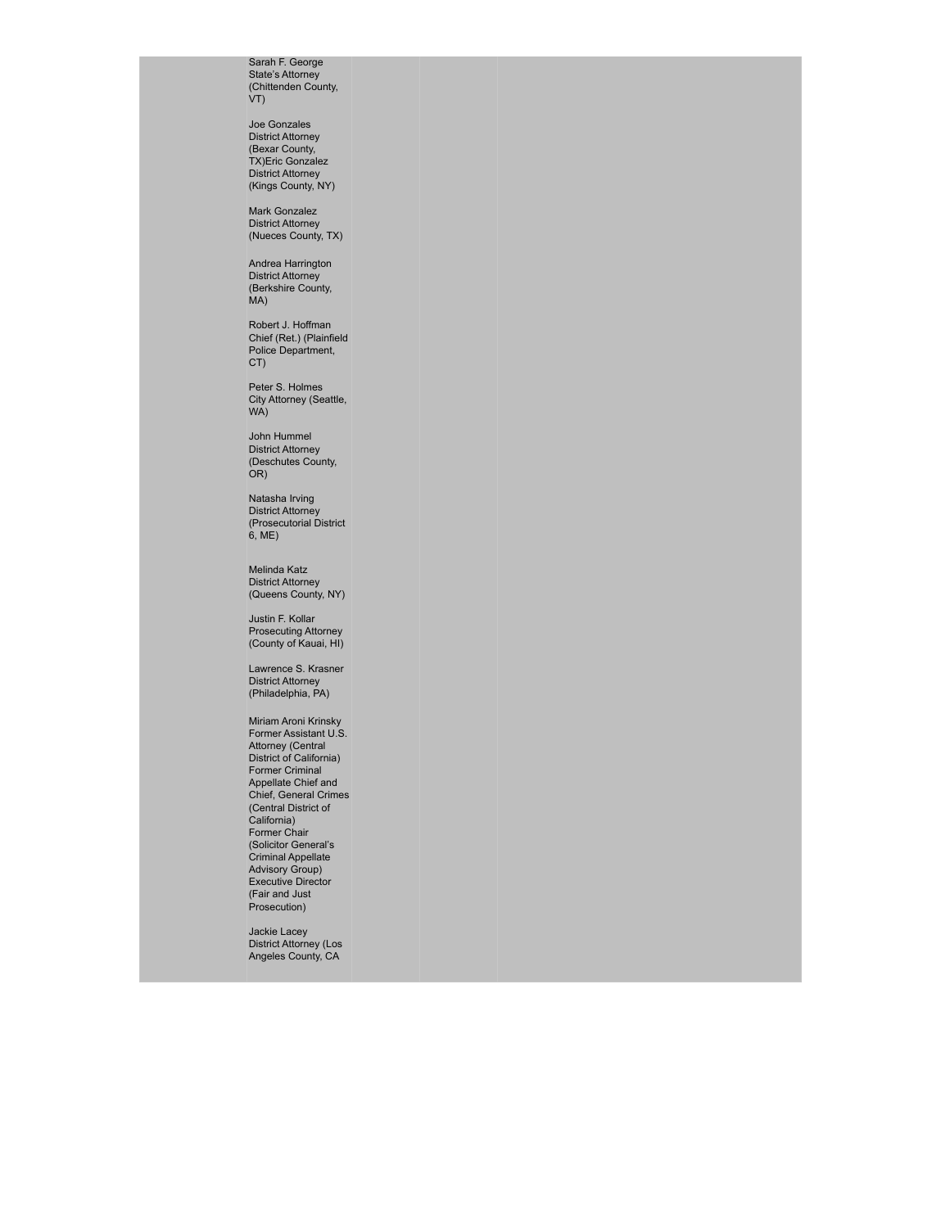Sarah F. George State's Attorney (Chittenden County, VT)

Joe Gonzales District Attorney (Bexar County, TX)Eric Gonzalez District Attorney (Kings County, NY)

Mark Gonzalez District Attorney (Nueces County, TX)

Andrea Harrington District Attorney (Berkshire County, MA)

Robert J. Hoffman Chief (Ret.) (Plainfield Police Department, CT)

Peter S. Holmes City Attorney (Seattle, WA)

John Hummel District Attorney (Deschutes County, OR)

Natasha Irving District Attorney (Prosecutorial District 6, ME)

Melinda Katz District Attorney (Queens County, NY)

Justin F. Kollar Prosecuting Attorney (County of Kauai, HI)

Lawrence S. Krasner District Attorney (Philadelphia, PA)

Miriam Aroni Krinsky Former Assistant U.S. Attorney (Central District of California) Former Criminal Appellate Chief and Chief, General Crimes (Central District of California) Former Chair (Solicitor General's Criminal Appellate Advisory Group) Executive Director (Fair and Just Prosecution)

Jackie Lacey District Attorney (Los Angeles County, CA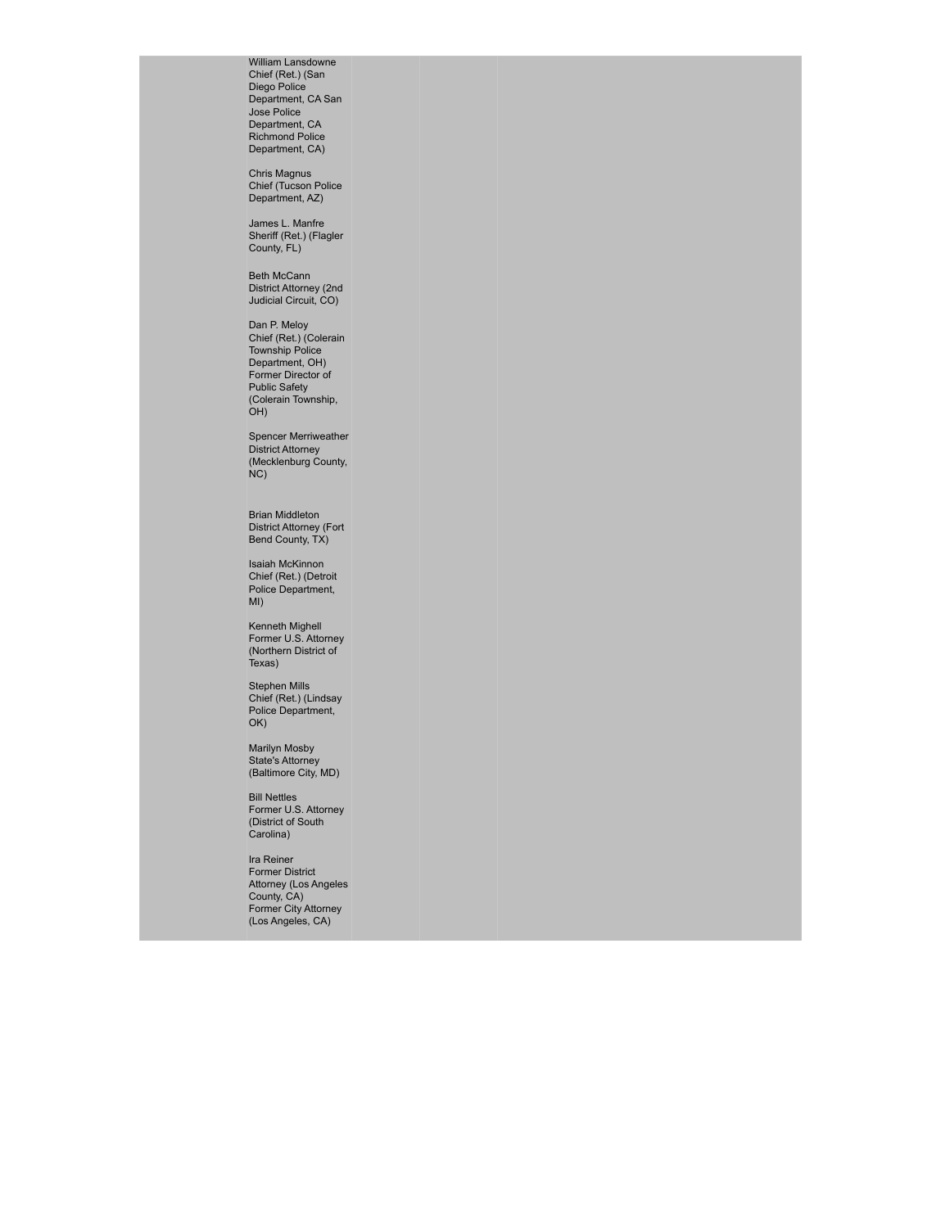William Lansdowne Chief (Ret.) (San Diego Police Department, CA San Jose Police Department, CA Richmond Police Department, CA)

Chris Magnus Chief (Tucson Police Department, AZ)

James L. Manfre Sheriff (Ret.) (Flagler County, FL)

Beth McCann District Attorney (2nd Judicial Circuit, CO)

Dan P. Meloy Chief (Ret.) (Colerain Township Police Department, OH) Former Director of Public Safety (Colerain Township, OH)

Spencer Merriweather District Attorney (Mecklenburg County, NC)

Brian Middleton District Attorney (Fort Bend County, TX)

Isaiah McKinnon Chief (Ret.) (Detroit Police Department, MI)

Kenneth Mighell Former U.S. Attorney (Northern District of Texas)

Stephen Mills Chief (Ret.) (Lindsay Police Department, OK)

Marilyn Mosby State's Attorney (Baltimore City, MD)

Bill Nettles Former U.S. Attorney (District of South Carolina)

Ira Reiner Former District Attorney (Los Angeles County, CA) Former City Attorney (Los Angeles, CA)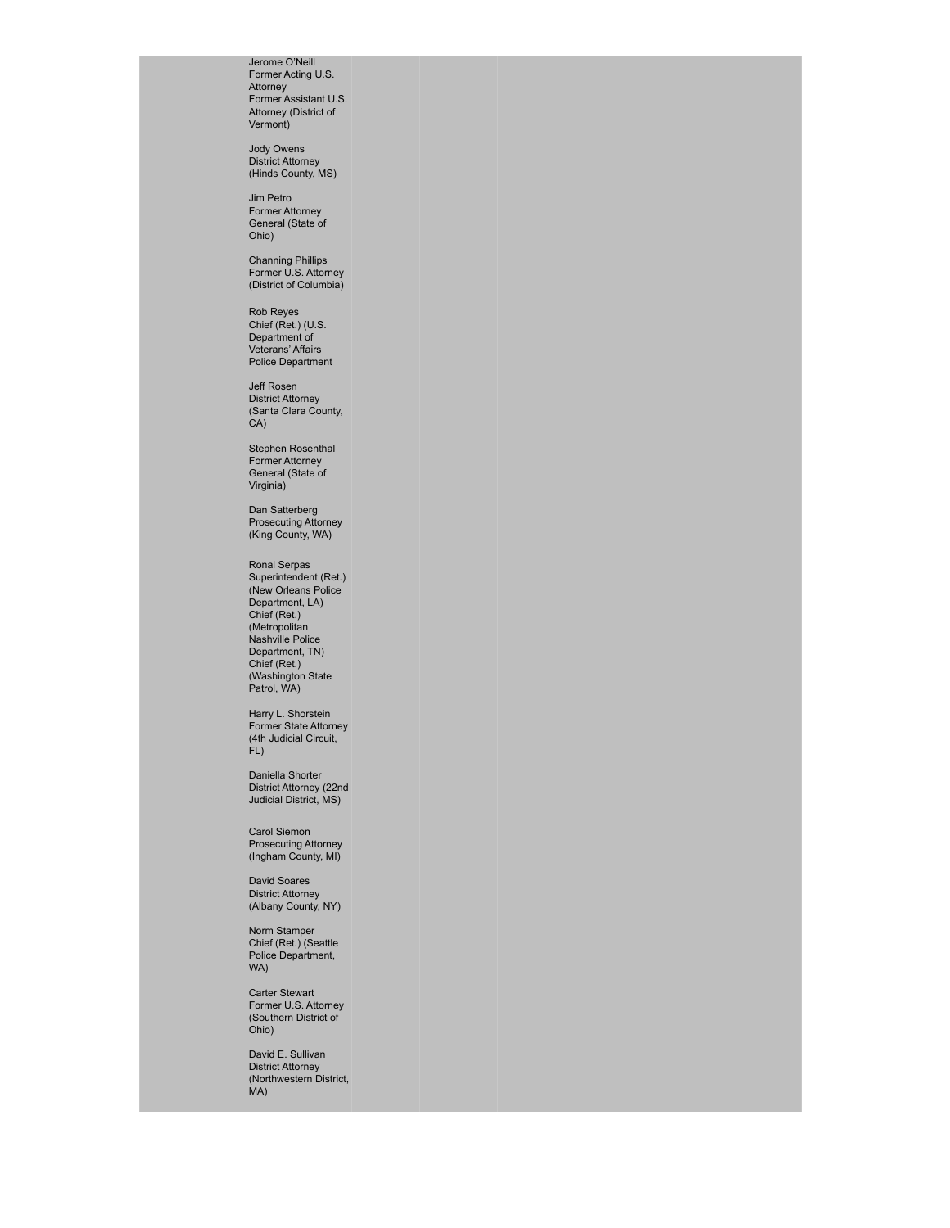Jerome O'Neill Former Acting U.S. Attorney Former Assistant U.S. Attorney (District of Vermont)

Jody Owens District Attorney (Hinds County, MS)

Jim Petro Former Attorney General (State of Ohio)

Channing Phillips Former U.S. Attorney (District of Columbia)

Rob Reyes Chief (Ret.) (U.S. Department of Veterans' Affairs Police Department

Jeff Rosen District Attorney (Santa Clara County, CA)

Stephen Rosenthal Former Attorney General (State of Virginia)

Dan Satterberg Prosecuting Attorney (King County, WA)

Ronal Serpas Superintendent (Ret.) (New Orleans Police Department, LA) Chief (Ret.) (Metropolitan Nashville Police Department, TN) Chief (Ret.) (Washington State Patrol, WA)

Harry L. Shorstein Former State Attorney (4th Judicial Circuit, FL)

Daniella Shorter District Attorney (22nd Judicial District, MS)

Carol Siemon Prosecuting Attorney (Ingham County, MI)

David Soares District Attorney (Albany County, NY)

Norm Stamper Chief (Ret.) (Seattle Police Department, WA)

Carter Stewart Former U.S. Attorney (Southern District of Ohio)

David E. Sullivan District Attorney (Northwestern District, MA)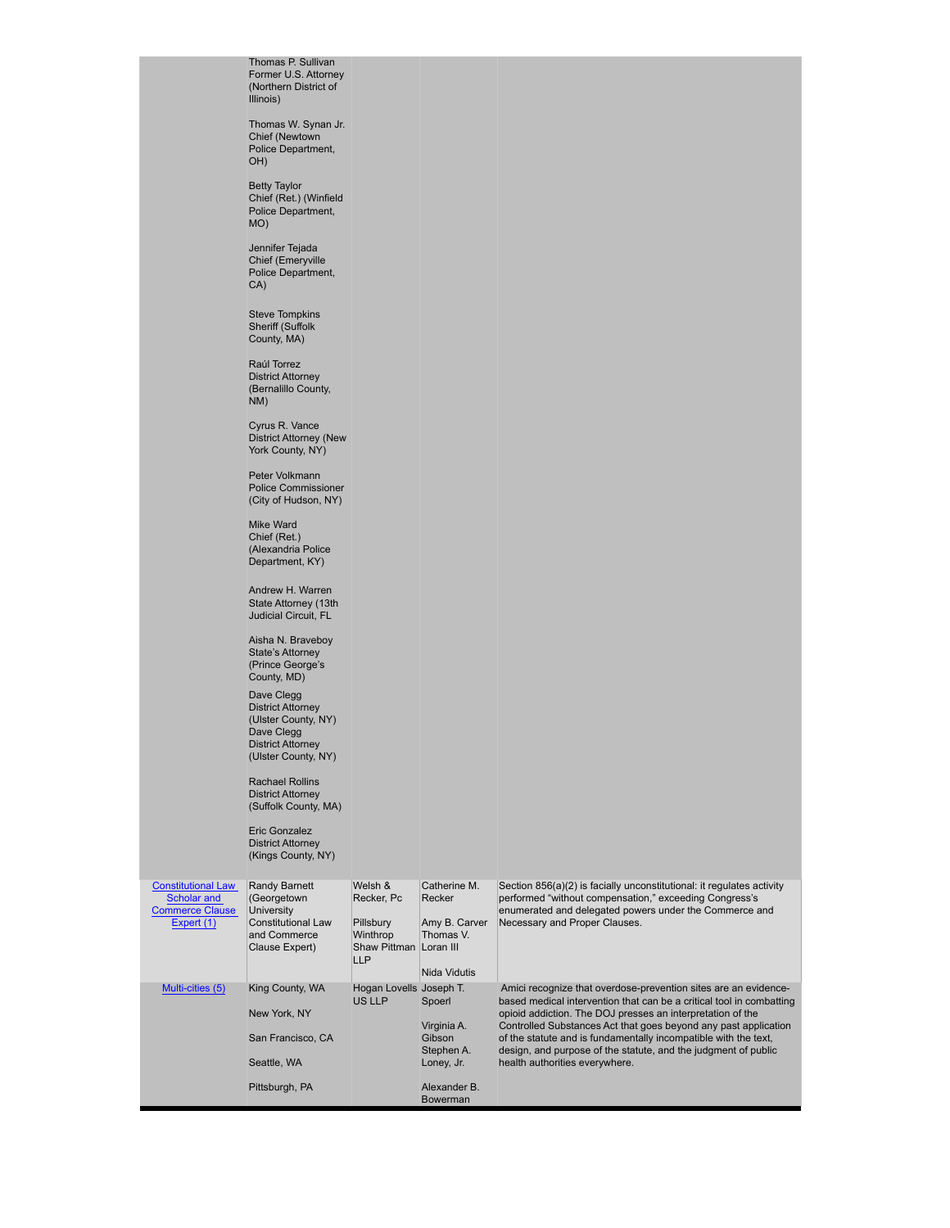Thomas P. Sullivan Former U.S. Attorney (Northern District of Illinois)

Thomas W. Synan Jr. Chief (Newtown Police Department, OH)

Betty Taylor Chief (Ret.) (Winfield Police Department, MO)

Jennifer Tejada Chief (Emeryville Police Department, CA)

Steve Tompkins Sheriff (Suffolk County, MA)

Raúl Torrez District Attorney (Bernalillo County, NM)

Cyrus R. Vance District Attorney (New York County, NY)

Peter Volkmann Police Commissioner (City of Hudson, NY)

Mike Ward Chief (Ret.) (Alexandria Police Department, KY)

Andrew H. Warren State Attorney (13th Judicial Circuit, FL

Aisha N. Braveboy State's Attorney (Prince George's County, MD)

Dave Clegg District Attorney (Ulster County, NY) Dave Clegg District Attorney (Ulster County, NY)

Rachael Rollins District Attorney (Suffolk County, MA)

Eric Gonzalez District Attorney (Kings County, NY)

| <b>Constitutional Law</b><br>Scholar and<br><b>Commerce Clause</b><br>Expert (1) | <b>Randy Barnett</b><br>(Georgetown<br>University<br>Constitutional Law<br>and Commerce<br>Clause Expert) | Welsh &<br>Recker, Pc<br>Pillsbury<br>Winthrop<br>Shaw Pittman Loran III<br>LLP | Catherine M.<br>Recker<br>Amy B. Carver<br>Thomas V.<br>Nida Vidutis                           | Section 856(a)(2) is facially unconstitutional: it regulates activity<br>performed "without compensation," exceeding Congress's<br>enumerated and delegated powers under the Commerce and<br>Necessary and Proper Clauses.                                                                                                                                                                                                                      |
|----------------------------------------------------------------------------------|-----------------------------------------------------------------------------------------------------------|---------------------------------------------------------------------------------|------------------------------------------------------------------------------------------------|-------------------------------------------------------------------------------------------------------------------------------------------------------------------------------------------------------------------------------------------------------------------------------------------------------------------------------------------------------------------------------------------------------------------------------------------------|
| Multi-cities (5)                                                                 | King County, WA<br>New York, NY<br>San Francisco, CA<br>Seattle, WA<br>Pittsburgh, PA                     | Hogan Lovells Joseph T.<br>US LLP                                               | Spoerl<br>Virginia A.<br>Gibson<br>Stephen A.<br>Loney, Jr.<br>Alexander B.<br><b>Bowerman</b> | Amici recognize that overdose-prevention sites are an evidence-<br>based medical intervention that can be a critical tool in combatting<br>opioid addiction. The DOJ presses an interpretation of the<br>Controlled Substances Act that goes beyond any past application<br>of the statute and is fundamentally incompatible with the text,<br>design, and purpose of the statute, and the judgment of public<br>health authorities everywhere. |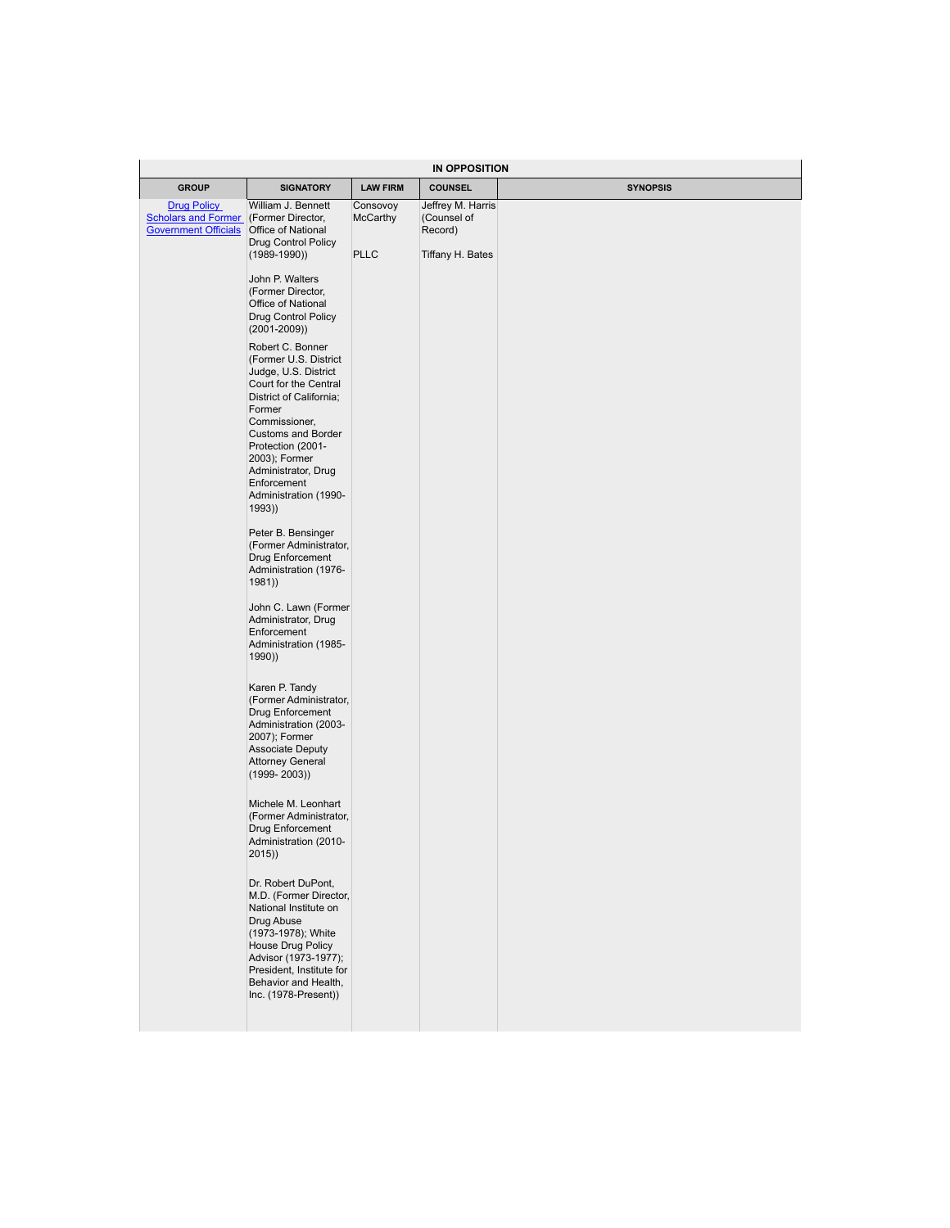| IN OPPOSITION                                                                                                                                                                                                                                                                         |                                                                      |                                                                                                                              |                 |  |  |  |
|---------------------------------------------------------------------------------------------------------------------------------------------------------------------------------------------------------------------------------------------------------------------------------------|----------------------------------------------------------------------|------------------------------------------------------------------------------------------------------------------------------|-----------------|--|--|--|
| <b>SIGNATORY</b>                                                                                                                                                                                                                                                                      | <b>LAW FIRM</b>                                                      | <b>COUNSEL</b>                                                                                                               | <b>SYNOPSIS</b> |  |  |  |
| William J. Bennett<br>Office of National<br>Drug Control Policy                                                                                                                                                                                                                       | Consovoy<br><b>McCarthy</b>                                          | Jeffrey M. Harris<br>(Counsel of<br>Record)                                                                                  |                 |  |  |  |
| $(1989 - 1990)$                                                                                                                                                                                                                                                                       | <b>PLLC</b>                                                          | Tiffany H. Bates                                                                                                             |                 |  |  |  |
| John P. Walters<br>(Former Director,<br>Office of National<br>Drug Control Policy<br>$(2001 - 2009)$                                                                                                                                                                                  |                                                                      |                                                                                                                              |                 |  |  |  |
| Robert C. Bonner<br>(Former U.S. District<br>Judge, U.S. District<br>Court for the Central<br>District of California;<br>Former<br>Commissioner,<br>Customs and Border<br>Protection (2001-<br>2003); Former<br>Administrator, Drug<br>Enforcement<br>Administration (1990-<br>(1993) |                                                                      |                                                                                                                              |                 |  |  |  |
| Peter B. Bensinger<br>Drug Enforcement<br>Administration (1976-<br>1981)                                                                                                                                                                                                              |                                                                      |                                                                                                                              |                 |  |  |  |
| Administrator, Drug<br>Enforcement<br>Administration (1985-<br>(1990)                                                                                                                                                                                                                 |                                                                      |                                                                                                                              |                 |  |  |  |
| Karen P. Tandy<br>Drug Enforcement<br>Administration (2003-<br>2007); Former<br><b>Associate Deputy</b><br><b>Attorney General</b><br>$(1999 - 2003)$                                                                                                                                 |                                                                      |                                                                                                                              |                 |  |  |  |
| Michele M. Leonhart<br>Drug Enforcement<br>Administration (2010-<br>2015)                                                                                                                                                                                                             |                                                                      |                                                                                                                              |                 |  |  |  |
| Dr. Robert DuPont,<br>National Institute on<br>Drug Abuse<br>(1973-1978); White<br>House Drug Policy<br>Advisor (1973-1977);<br>President, Institute for<br>Behavior and Health,<br>Inc. (1978-Present))                                                                              |                                                                      |                                                                                                                              |                 |  |  |  |
|                                                                                                                                                                                                                                                                                       | Scholars and Former (Former Director,<br><b>Government Officials</b> | (Former Administrator,<br>John C. Lawn (Former<br>(Former Administrator,<br>(Former Administrator,<br>M.D. (Former Director, |                 |  |  |  |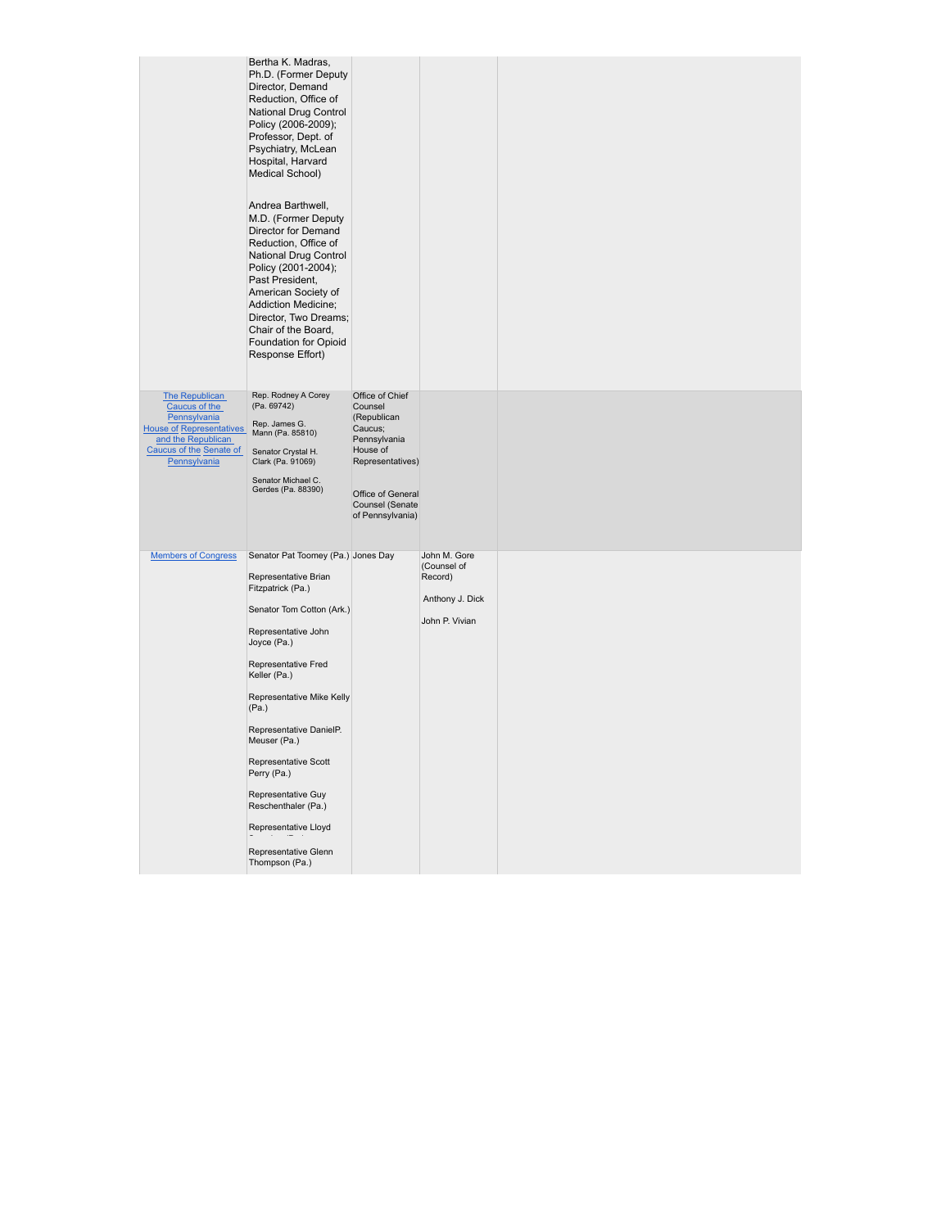|                                                                                                                                                     | Bertha K. Madras,<br>Ph.D. (Former Deputy<br>Director, Demand<br>Reduction, Office of<br>National Drug Control<br>Policy (2006-2009);<br>Professor, Dept. of<br>Psychiatry, McLean<br>Hospital, Harvard<br>Medical School)<br>Andrea Barthwell,<br>M.D. (Former Deputy<br>Director for Demand<br>Reduction, Office of<br>National Drug Control<br>Policy (2001-2004);<br>Past President,<br>American Society of<br><b>Addiction Medicine;</b><br>Director, Two Dreams;<br>Chair of the Board,<br>Foundation for Opioid<br>Response Effort) |                                                                                                                                                                  |                                                                             |  |
|-----------------------------------------------------------------------------------------------------------------------------------------------------|--------------------------------------------------------------------------------------------------------------------------------------------------------------------------------------------------------------------------------------------------------------------------------------------------------------------------------------------------------------------------------------------------------------------------------------------------------------------------------------------------------------------------------------------|------------------------------------------------------------------------------------------------------------------------------------------------------------------|-----------------------------------------------------------------------------|--|
| The Republican<br>Caucus of the<br>Pennsylvania<br><b>House of Representatives</b><br>and the Republican<br>Caucus of the Senate of<br>Pennsylvania | Rep. Rodney A Corey<br>(Pa. 69742)<br>Rep. James G.<br>Mann (Pa. 85810)<br>Senator Crystal H.<br>Clark (Pa. 91069)<br>Senator Michael C.<br>Gerdes (Pa. 88390)                                                                                                                                                                                                                                                                                                                                                                             | Office of Chief<br>Counsel<br>(Republican<br>Caucus;<br>Pennsylvania<br>House of<br>Representatives)<br>Office of General<br>Counsel (Senate<br>of Pennsylvania) |                                                                             |  |
| <b>Members of Congress</b>                                                                                                                          | Senator Pat Toomey (Pa.) Jones Day<br>Representative Brian<br>Fitzpatrick (Pa.)<br>Senator Tom Cotton (Ark.)<br>Representative John<br>Joyce (Pa.)<br>Representative Fred<br>Keller (Pa.)<br>Representative Mike Kelly<br>(Pa.)<br>Representative DanielP.<br>Meuser (Pa.)<br>Representative Scott<br>Perry (Pa.)<br>Representative Guy<br>Reschenthaler (Pa.)<br>Representative Lloyd<br>Representative Glenn<br>Thompson (Pa.)                                                                                                           |                                                                                                                                                                  | John M. Gore<br>(Counsel of<br>Record)<br>Anthony J. Dick<br>John P. Vivian |  |